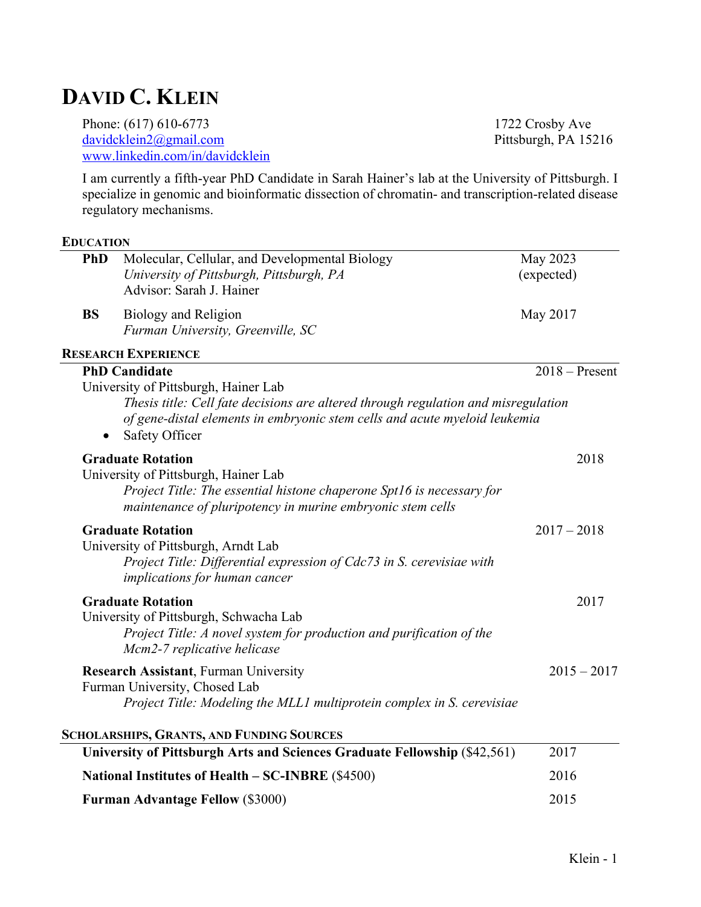# **DAVID C. KLEIN**

Phone: (617) 610-6773<br>
davidcklein2@gmail.com<br>
Pittsburgh, PA 15216  $davidcklein2@gmail.com$ www.linkedin.com/in/davidcklein

I am currently a fifth-year PhD Candidate in Sarah Hainer's lab at the University of Pittsburgh. I specialize in genomic and bioinformatic dissection of chromatin- and transcription-related disease regulatory mechanisms.

#### **EDUCATION**

| <b>PhD</b> | Molecular, Cellular, and Developmental Biology<br>University of Pittsburgh, Pittsburgh, PA<br>Advisor: Sarah J. Hainer                                                                                                                             | May 2023<br>(expected) |
|------------|----------------------------------------------------------------------------------------------------------------------------------------------------------------------------------------------------------------------------------------------------|------------------------|
| <b>BS</b>  | <b>Biology and Religion</b><br>Furman University, Greenville, SC                                                                                                                                                                                   | May 2017               |
|            | <b>RESEARCH EXPERIENCE</b>                                                                                                                                                                                                                         |                        |
|            | <b>PhD Candidate</b><br>University of Pittsburgh, Hainer Lab<br>Thesis title: Cell fate decisions are altered through regulation and misregulation<br>of gene-distal elements in embryonic stem cells and acute myeloid leukemia<br>Safety Officer | $2018 -$ Present       |
|            | <b>Graduate Rotation</b><br>University of Pittsburgh, Hainer Lab<br>Project Title: The essential histone chaperone Spt16 is necessary for<br>maintenance of pluripotency in murine embryonic stem cells                                            | 2018                   |
|            | <b>Graduate Rotation</b><br>University of Pittsburgh, Arndt Lab<br>Project Title: Differential expression of Cdc73 in S. cerevisiae with<br><i>implications for human cancer</i>                                                                   | $2017 - 2018$          |
|            | <b>Graduate Rotation</b><br>University of Pittsburgh, Schwacha Lab<br>Project Title: A novel system for production and purification of the<br>Mcm2-7 replicative helicase                                                                          | 2017                   |
|            | <b>Research Assistant, Furman University</b><br>Furman University, Chosed Lab<br>Project Title: Modeling the MLL1 multiprotein complex in S. cerevisiae                                                                                            | $2015 - 2017$          |
|            | <b>SCHOLARSHIPS, GRANTS, AND FUNDING SOURCES</b>                                                                                                                                                                                                   |                        |
|            | University of Pittsburgh Arts and Sciences Graduate Fellowship (\$42,561)                                                                                                                                                                          | 2017                   |
|            | National Institutes of Health – SC-INBRE (\$4500)                                                                                                                                                                                                  | 2016                   |
|            | <b>Furman Advantage Fellow (\$3000)</b>                                                                                                                                                                                                            | 2015                   |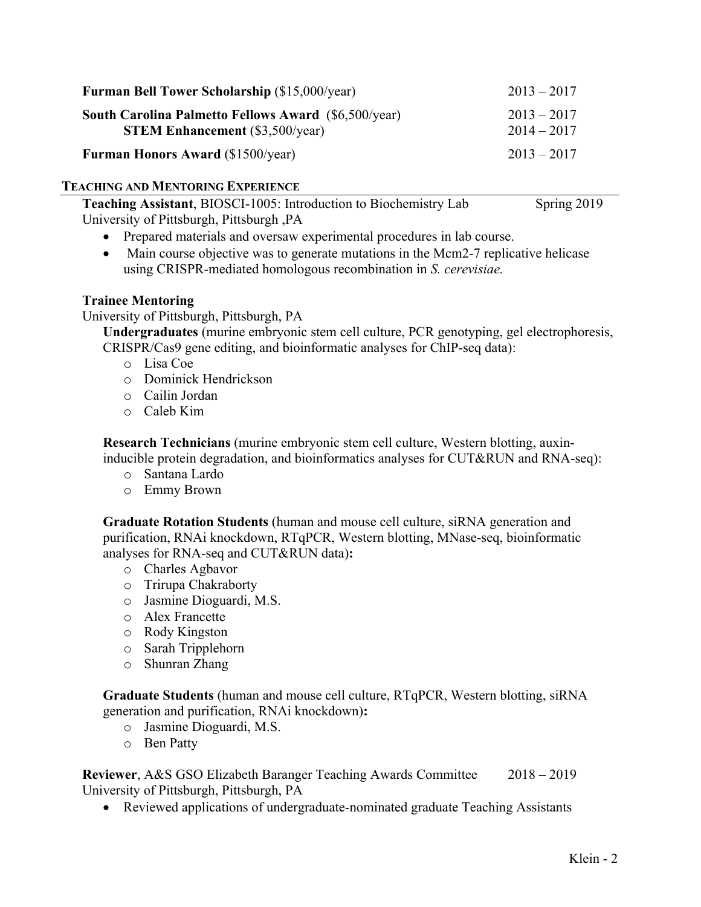| <b>Furman Bell Tower Scholarship (\$15,000/year)</b>                                                  | $2013 - 2017$                  |
|-------------------------------------------------------------------------------------------------------|--------------------------------|
| <b>South Carolina Palmetto Fellows Award (\$6,500/year)</b><br><b>STEM Enhancement</b> (\$3,500/year) | $2013 - 2017$<br>$2014 - 2017$ |
| <b>Furman Honors Award (\$1500/year)</b>                                                              | $2013 - 2017$                  |

# **TEACHING AND MENTORING EXPERIENCE**

**Teaching Assistant**, BIOSCI-1005: Introduction to Biochemistry Lab Spring 2019 University of Pittsburgh, Pittsburgh ,PA

- Prepared materials and oversaw experimental procedures in lab course.
- Main course objective was to generate mutations in the Mcm2-7 replicative helicase using CRISPR-mediated homologous recombination in *S. cerevisiae.*

# **Trainee Mentoring**

University of Pittsburgh, Pittsburgh, PA

**Undergraduates** (murine embryonic stem cell culture, PCR genotyping, gel electrophoresis, CRISPR/Cas9 gene editing, and bioinformatic analyses for ChIP-seq data):

- o Lisa Coe
- o Dominick Hendrickson
- o Cailin Jordan
- o Caleb Kim

**Research Technicians** (murine embryonic stem cell culture, Western blotting, auxininducible protein degradation, and bioinformatics analyses for CUT&RUN and RNA-seq):

- o Santana Lardo
- o Emmy Brown

**Graduate Rotation Students** (human and mouse cell culture, siRNA generation and purification, RNAi knockdown, RTqPCR, Western blotting, MNase-seq, bioinformatic analyses for RNA-seq and CUT&RUN data)**:**

- o Charles Agbavor
- o Trirupa Chakraborty
- o Jasmine Dioguardi, M.S.
- o Alex Francette
- o Rody Kingston
- o Sarah Tripplehorn
- o Shunran Zhang

**Graduate Students** (human and mouse cell culture, RTqPCR, Western blotting, siRNA generation and purification, RNAi knockdown)**:**

- o Jasmine Dioguardi, M.S.
- o Ben Patty

**Reviewer**, A&S GSO Elizabeth Baranger Teaching Awards Committee 2018 – 2019 University of Pittsburgh, Pittsburgh, PA

• Reviewed applications of undergraduate-nominated graduate Teaching Assistants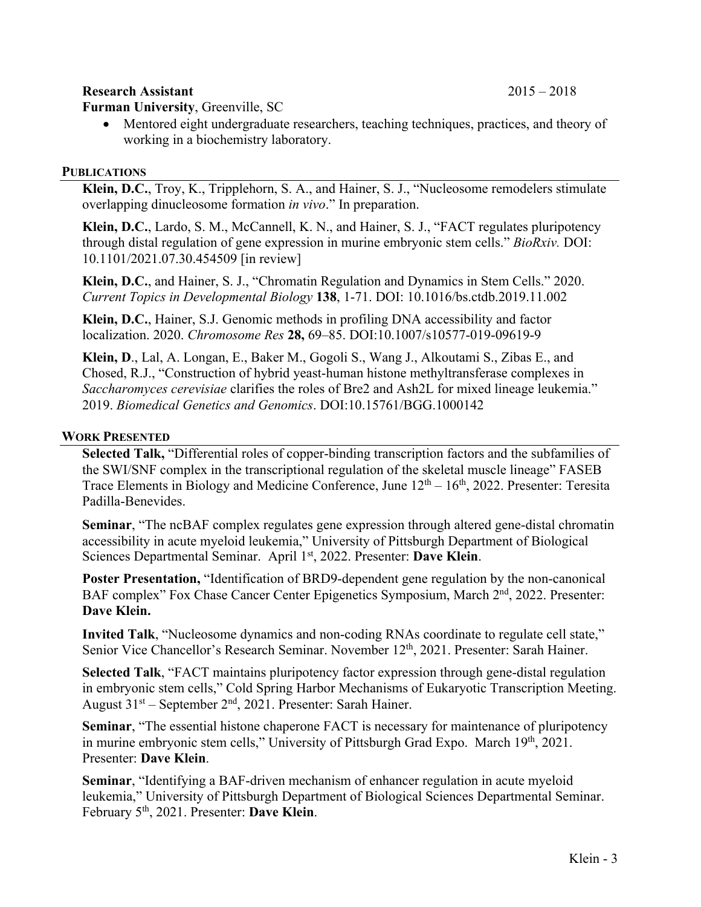### **Research Assistant** 2015 – 2018

**Furman University**, Greenville, SC

• Mentored eight undergraduate researchers, teaching techniques, practices, and theory of working in a biochemistry laboratory.

#### **PUBLICATIONS**

**Klein, D.C.**, Troy, K., Tripplehorn, S. A., and Hainer, S. J., "Nucleosome remodelers stimulate overlapping dinucleosome formation *in vivo*." In preparation.

**Klein, D.C.**, Lardo, S. M., McCannell, K. N., and Hainer, S. J., "FACT regulates pluripotency through distal regulation of gene expression in murine embryonic stem cells." *BioRxiv.* DOI: 10.1101/2021.07.30.454509 [in review]

**Klein, D.C.**, and Hainer, S. J., "Chromatin Regulation and Dynamics in Stem Cells." 2020. *Current Topics in Developmental Biology* **138**, 1-71. DOI: 10.1016/bs.ctdb.2019.11.002

**Klein, D.C.**, Hainer, S.J. Genomic methods in profiling DNA accessibility and factor localization. 2020. *Chromosome Res* **28,** 69–85. DOI:10.1007/s10577-019-09619-9

**Klein, D**., Lal, A. Longan, E., Baker M., Gogoli S., Wang J., Alkoutami S., Zibas E., and Chosed, R.J., "Construction of hybrid yeast-human histone methyltransferase complexes in *Saccharomyces cerevisiae* clarifies the roles of Bre2 and Ash2L for mixed lineage leukemia." 2019. *Biomedical Genetics and Genomics*. DOI:10.15761/BGG.1000142

# **WORK PRESENTED**

**Selected Talk,** "Differential roles of copper-binding transcription factors and the subfamilies of the SWI/SNF complex in the transcriptional regulation of the skeletal muscle lineage" FASEB Trace Elements in Biology and Medicine Conference, June  $12<sup>th</sup> - 16<sup>th</sup>$ , 2022. Presenter: Teresita Padilla-Benevides.

**Seminar**, "The ncBAF complex regulates gene expression through altered gene-distal chromatin accessibility in acute myeloid leukemia," University of Pittsburgh Department of Biological Sciences Departmental Seminar. April 1<sup>st</sup>, 2022. Presenter: Dave Klein.

**Poster Presentation,** "Identification of BRD9-dependent gene regulation by the non-canonical BAF complex" Fox Chase Cancer Center Epigenetics Symposium, March 2<sup>nd</sup>, 2022. Presenter: **Dave Klein.**

**Invited Talk**, "Nucleosome dynamics and non-coding RNAs coordinate to regulate cell state," Senior Vice Chancellor's Research Seminar. November 12<sup>th</sup>, 2021. Presenter: Sarah Hainer.

**Selected Talk**, "FACT maintains pluripotency factor expression through gene-distal regulation in embryonic stem cells," Cold Spring Harbor Mechanisms of Eukaryotic Transcription Meeting. August  $31<sup>st</sup>$  – September  $2<sup>nd</sup>$ , 2021. Presenter: Sarah Hainer.

**Seminar**, "The essential histone chaperone FACT is necessary for maintenance of pluripotency in murine embryonic stem cells," University of Pittsburgh Grad Expo. March 19th, 2021. Presenter: **Dave Klein**.

**Seminar**, "Identifying a BAF-driven mechanism of enhancer regulation in acute myeloid leukemia," University of Pittsburgh Department of Biological Sciences Departmental Seminar. February 5th , 2021. Presenter: **Dave Klein**.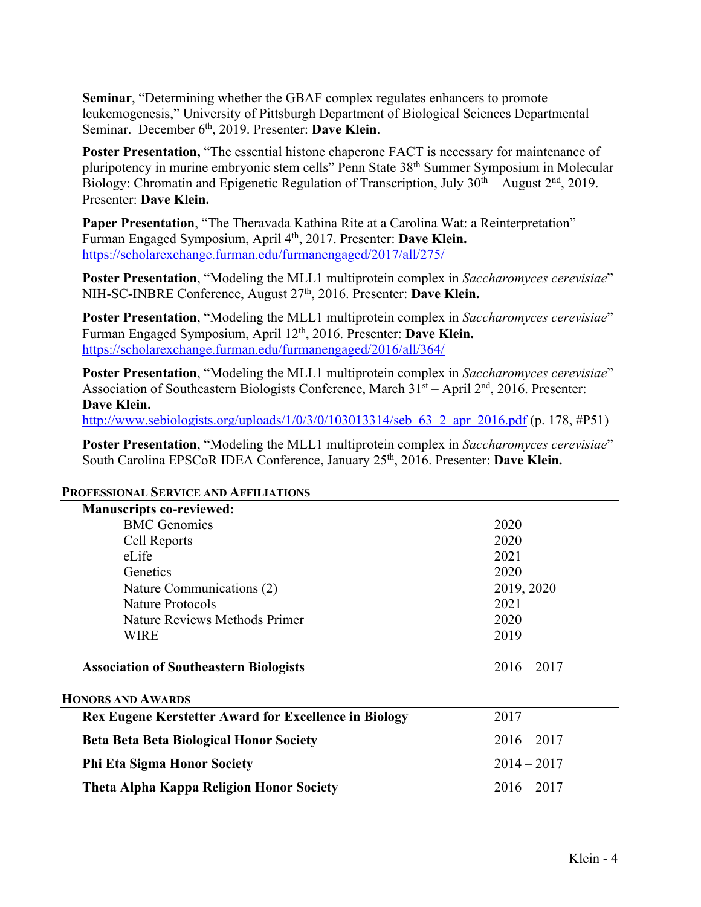**Seminar**, "Determining whether the GBAF complex regulates enhancers to promote leukemogenesis," University of Pittsburgh Department of Biological Sciences Departmental Seminar. December 6th , 2019. Presenter: **Dave Klein**.

**Poster Presentation, "The essential histone chaperone FACT is necessary for maintenance of** pluripotency in murine embryonic stem cells" Penn State 38th Summer Symposium in Molecular Biology: Chromatin and Epigenetic Regulation of Transcription, July  $30<sup>th</sup> - August 2<sup>nd</sup>$ , 2019. Presenter: **Dave Klein.**

**Paper Presentation**, "The Theravada Kathina Rite at a Carolina Wat: a Reinterpretation" Furman Engaged Symposium, April 4<sup>th</sup>, 2017. Presenter: **Dave Klein.** https://scholarexchange.furman.edu/furmanengaged/2017/all/275/

**Poster Presentation**, "Modeling the MLL1 multiprotein complex in *Saccharomyces cerevisiae*" NIH-SC-INBRE Conference, August 27th, 2016. Presenter: **Dave Klein.**

**Poster Presentation**, "Modeling the MLL1 multiprotein complex in *Saccharomyces cerevisiae*" Furman Engaged Symposium, April 12th, 2016. Presenter: **Dave Klein.** https://scholarexchange.furman.edu/furmanengaged/2016/all/364/

**Poster Presentation**, "Modeling the MLL1 multiprotein complex in *Saccharomyces cerevisiae*" Association of Southeastern Biologists Conference, March  $31<sup>st</sup> - April 2<sup>nd</sup>$ , 2016. Presenter: **Dave Klein.**

http://www.sebiologists.org/uploads/1/0/3/0/103013314/seb 63\_2\_apr\_2016.pdf (p. 178, #P51)

**Poster Presentation**, "Modeling the MLL1 multiprotein complex in *Saccharomyces cerevisiae*" South Carolina EPSCoR IDEA Conference, January 25th, 2016. Presenter: **Dave Klein.**

| <b>Manuscripts co-reviewed:</b>                              |               |
|--------------------------------------------------------------|---------------|
| <b>BMC</b> Genomics                                          | 2020          |
| Cell Reports                                                 | 2020          |
| eLife                                                        | 2021          |
| Genetics                                                     | 2020          |
| Nature Communications (2)                                    | 2019, 2020    |
| Nature Protocols                                             | 2021          |
| Nature Reviews Methods Primer                                | 2020          |
| <b>WIRE</b>                                                  | 2019          |
| <b>Association of Southeastern Biologists</b>                | $2016 - 2017$ |
| <b>HONORS AND AWARDS</b>                                     |               |
| <b>Rex Eugene Kerstetter Award for Excellence in Biology</b> | 2017          |
| <b>Beta Beta Beta Biological Honor Society</b>               | $2016 - 2017$ |
| <b>Phi Eta Sigma Honor Society</b>                           | $2014 - 2017$ |
| <b>Theta Alpha Kappa Religion Honor Society</b>              | $2016 - 2017$ |

#### **PROFESSIONAL SERVICE AND AFFILIATIONS**